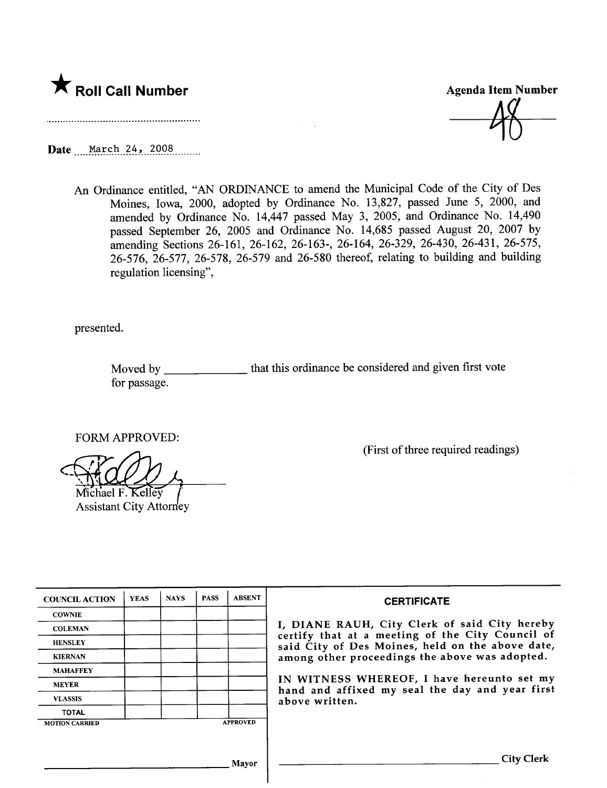# \* Roll Call Number Agenda Item Number

Aß

Date March 24, 2008

An Ordinance entitled, "AN ORDINANCE to amend the Municipal Code of the City of Des Moines, Iowa, 2000, adopted by Ordinance No. 13,827, passed June 5, 2000, and amended by Ordinance No. 14,447 passed May 3, 2005, and Ordinance No. 14,490 passed September 26, 2005 and Ordinance No. 14,685 passed August 20, 2007 by amending Sections 26-161, 26-162, 26-163-, 26-164, 26-329, 26-430, 26-431, 26-575, 26-576, 26-577, 26-578, 26-579 and 26-580 thereof, relating to building and building regulation licensing",

presented.

Moved by **November** for passage. that this ordinance be considered and given first vote

FORM APPROVED:

Michael F. Kelley

Assistant City Attorney

(First of three required readings)

| <b>COUNCIL ACTION</b> | <b>YEAS</b> | <b>NAYS</b> | <b>PASS</b> | <b>ABSENT</b>   | <b>CERTIFICATE</b>                                                                                                                                                                                                                                                                                                         |
|-----------------------|-------------|-------------|-------------|-----------------|----------------------------------------------------------------------------------------------------------------------------------------------------------------------------------------------------------------------------------------------------------------------------------------------------------------------------|
| <b>COWNIE</b>         |             |             |             |                 | I, DIANE RAUH, City Clerk of said City hereby<br>certify that at a meeting of the City Council of<br>said City of Des Moines, held on the above date,<br>among other proceedings the above was adopted.<br>IN WITNESS WHEREOF, I have hereunto set my<br>hand and affixed my seal the day and year first<br>above written. |
| <b>COLEMAN</b>        |             |             |             |                 |                                                                                                                                                                                                                                                                                                                            |
| <b>HENSLEY</b>        |             |             |             |                 |                                                                                                                                                                                                                                                                                                                            |
| <b>KIERNAN</b>        |             |             |             |                 |                                                                                                                                                                                                                                                                                                                            |
| <b>MAHAFFEY</b>       |             |             |             |                 |                                                                                                                                                                                                                                                                                                                            |
| <b>MEYER</b>          |             |             |             |                 |                                                                                                                                                                                                                                                                                                                            |
| <b>VLASSIS</b>        |             |             |             |                 |                                                                                                                                                                                                                                                                                                                            |
| <b>TOTAL</b>          |             |             |             |                 |                                                                                                                                                                                                                                                                                                                            |
| <b>MOTION CARRIED</b> |             |             |             | <b>APPROVED</b> |                                                                                                                                                                                                                                                                                                                            |
|                       |             |             |             |                 |                                                                                                                                                                                                                                                                                                                            |
|                       |             |             |             |                 |                                                                                                                                                                                                                                                                                                                            |
| Mayor                 |             |             |             |                 | <b>City Clerk</b>                                                                                                                                                                                                                                                                                                          |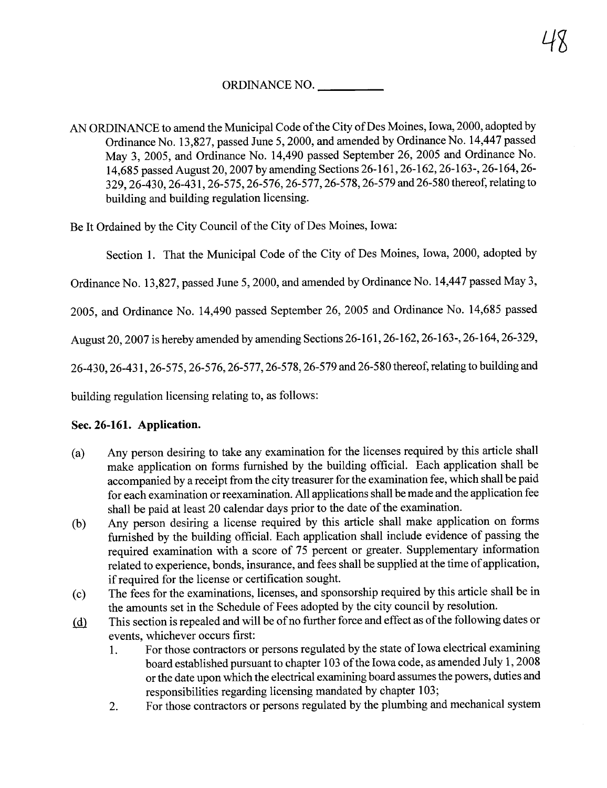# ORDINANCE NO.

AN ORDINANCE to amend the Municipal Code of the City of Des Moines, Iowa, 2000, adopted by Ordinance No. 13,827, passed June 5, 2000, and amended by Ordinance No. 14,447 passed May 3, 2005, and Ordinance No. 14,490 passed September 26,2005 and Ordinance No. 14,685 passed August 20,2007 by amending Sections 26-161,26-162,26-163-,26-164,26- 329,26-430,26-431,26-575,26-576,26-577,26-578, 26-579 and 26-580 thereof, relating to building and building regulation licensing.

Be It Ordained by the City Council of the City of Des Moines, Iowa:

Section 1. That the Municipal Code of the City of Des Moines, Iowa, 2000, adopted by

Ordinance No. 13,827, passed June 5, 2000, and amended by Ordinance No. 14,447 passed May 3,

2005, and Ordinance No. 14,490 passed September 26, 2005 and Ordinance No. 14,685 passed

August 20,2007 is hereby amended by amending Sections 26-161,26-162,26-163-,26-164,26-329,

26-430,26-431,26-575,26-576,26-577,26-578,26-579 and 26-580 thereof, relating to building and

building regulation licensing relating to, as follows:

## Sec. 26-161. Application.

- (a) Any person desiring to take any examination for the licenses required by this aricle shall make application on forms furnished by the building official. Each application shall be accompanied by a receipt from the city treasurer for the examination fee, which shall be paid for each examination or reexamination. All applications shall be made and the application fee shall be paid at least 20 calendar days prior to the date of the examination.
- (b) Any person desiring a license required by this aricle shall make application on forms furnished by the building officiaL. Each application shall include evidence of passing the required examination with a score of 75 percent or greater. Supplementary information related to experience, bonds, insurance, and fees shall be supplied at the time of application, if required for the license or certification sought.
- (c) The fees for the examinations, licenses, and sponsorship required by this aricle shall be in the amounts set in the Schedule of Fees adopted by the city council by resolution.
- (d) This section is repealed and will be of no further force and effect as of the following dates or events, whichever occurs first:
	- 1. For those contractors or persons regulated by the state of Iowa electrical examining board established pursuant to chapter 103 of the Iowa code, as amended July 1, 2008 or the date upon which the electrical examining board assumes the powers, duties and responsibilities regarding licensing mandated by chapter 103;
	- 2. For those contractors or persons regulated by the plumbing and mechanical system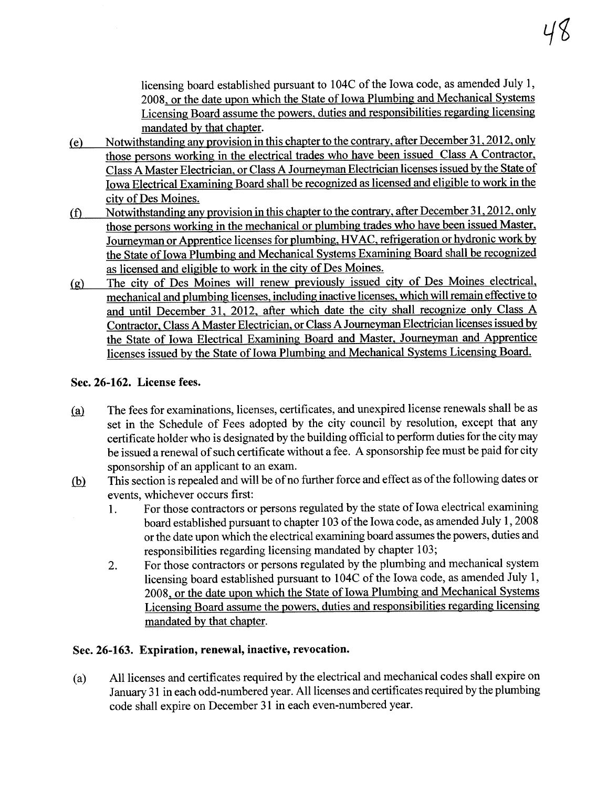licensing board established pursuant to 104C of the Iowa code, as amended July 1, 2008, or the date upon which the State of Iowa Plumbing and Mechanical Systems Licensing Board assume the powers. duties and responsibilities regarding licensing mandated by that chapter.

- ( e) Notwthstanding any provision in this chapter to the contrary. after December 31. 2012. only those persons working in the electrical trades who have been issued Class A Contractor. Class A Master Electrician, or Class A Journeyman Electrician licenses issued by the State of Iowa Electrical Examining Board shall be recognized as licensed and eligible to work in the city of Des Moines.
- (f) Notwithstanding any provision in this chapter to the contrary, after December 31, 2012, only those persons working in the mechanical or plumbing trades who have been issued Master. Joureyman or Apprentice licenses for plumbing. HV AC. refrigeration or hydronic work by the State of Iowa Plumbing and Mechanical Systems Examining Board shall be recognized as licensed and eligible to work in the city of Des Moines.
- (g) The city of Des Moines wil renew previously issued city of Des Moines electricaL. mechanical and plumbing licenses, including inactive licenses, which will remain effective to and until December 31. 2012. after which date the city shall recognize only Class A Contractor, Class A Master Electrician, or Class A Journeyman Electrician licenses issued by the State of Iowa Electrical Examining Board and Master. Journeyman and Apprentice licenses issued by the State of Iowa Plumbing and Mechancal Systems Licensing Board.

## Sec. 26-162. License fees.

- (a) The fees for examinations, licenses, certificates, and unexpired license renewals shall be as set in the Schedule of Fees adopted by the city council by resolution, except that any certificate holder who is designated by the building official to perform duties for the city may be issued a renewal of such certificate without a fee. A sponsorship fee must be paid for city sponsorship of an applicant to an exam.
- (b) This section is repealed and will be of no further force and effect as of the following dates or events, whichever occurs first:
	- 1. For those contractors or persons regulated by the state of Iowa electrical examining board established pursuant to chapter 103 of the Iowa code, as amended July 1, 2008 or the date upon which the electrical examining board assumes the powers, duties and responsibilities regarding licensing mandated by chapter 103;
	- 2. For those contractors or persons regulated by the plumbing and mechanical system licensing board established pursuant to 104C of the Iowa code, as amended July 1, 2008, or the date upon which the State of Iowa Plumbing and Mechanical Systems Licensing Board assume the powers. duties and responsibilities regarding licensing mandated by that chapter.

## Sec. 26-163. Expiration, renewal, inactive, revocation.

(a) All licenses and certificates required by the electrical and mechanical codes shall expire on<br>January 31 in each odd-numbered year. All licenses and certificates required by the plumbing code shall expire on December 31 in each even-numbered year.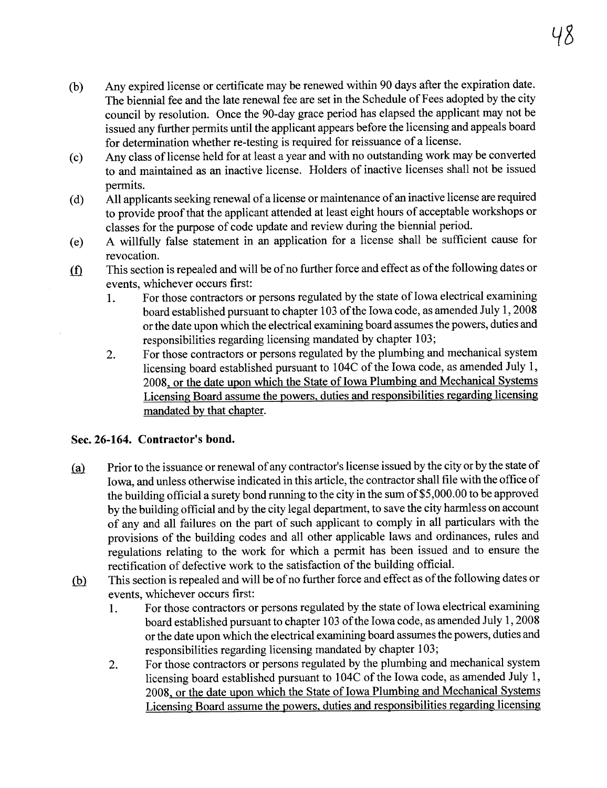- (b) Any expired license or certificate may be renewed within 90 days after the expiration date. The biennial fee and the late renewal fee are set in the Schedule of Fees adopted by the city council by resolution. Once the 90-day grace period has elapsed the applicant may not be issued any further permits until the applicant appears before the licensing and appeals board for determination whether re-testing is required for reissuance of a license.
- (c) Any class of license held for at least a year and with no outstanding work may be converted to and maintained as an inactive license. Holders of inactive licenses shall not be issued permits.
- (d) All applicants seeking renewal of a license or maintenance of an inactive license are required to provide proof that the applicant attended at least eight hours of acceptable workshops or classes for the purose of code update and review durng the biennial period.
- (e) A wilfully false statement in an application for a license shall be sufficient cause for revocation.
- $if$  This section is repealed and will be of no further force and effect as of the following dates or events, whichever occurs first:
	- 1. For those contractors or persons regulated by the state of Iowa electrical examining board established pursuant to chapter 103 of the Iowa code, as amended July 1, 2008 or the date upon which the electrical examining board assumes the powers, duties and responsibilities regarding licensing mandated by chapter 103;
	- 2. For those contractors or persons regulated by the plumbing and mechanical system licensing board established pursuant to 104C of the Iowa code, as amended July 1, 2008, or the date upon which the State of Iowa Plumbing and Mechanical Systems Licensing Board assume the powers. duties and responsibilities regarding licensing mandated by that chapter.

## Sec.26-164. Contractor's bond.

- (a) Prior to the issuance or renewal of any contractor's license issued by the city or by the state of Iowa, and unless otherwise indicated in this aricle, the contractor shall fie with the office of the building official a surety bond running to the city in the sum of \$5,000.00 to be approved by the building official and by the city legal department, to save the city harmless on account of any and all failures on the part of such applicant to comply in all pariculars with the provisions of the building codes and all other applicable laws and ordinances, rules and regulations relating to the work for which a permit has been issued and to ensure the rectification of defective work to the satisfaction of the building officiaL.
- $(b)$  This section is repealed and will be of no further force and effect as of the following dates or events, whichever occurs first:
	- 1. For those contractors or persons regulated by the state of Iowa electrical examining board established pursuant to chapter 103 of the Iowa code, as amended July 1, 2008 or the date upon which the electrical examining board assumes the powers, duties and responsibilities regarding licensing mandated by chapter 103;
	- 2. For those contractors or persons regulated by the plumbing and mechanical system licensing board established pursuant to 104C of the Iowa code, as amended July 1, 2008, or the date upon which the State of Iowa Plumbing and Mechanical Systems Licensing Board assume the powers. duties and responsibilities regarding licensing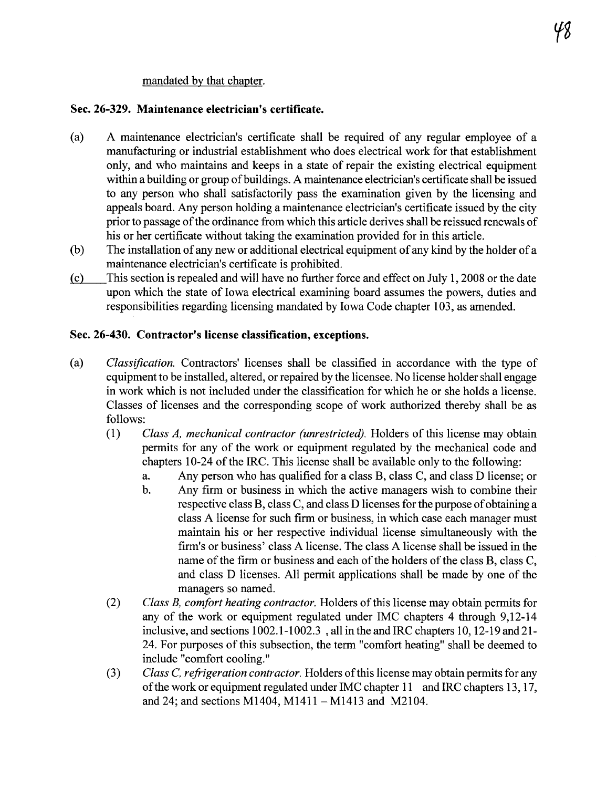#### mandated by that chapter.

#### Sec. 26-329. Maintenance electrician's certificate.

- (a) A maintenance electrician's certificate shall be required of any regular employee of a manufacturing or industrial establishment who does electrical work for that establishment only, and who maintains and keeps in a state of repair the existing electrical equipment within a building or group of buildings. A maintenance electrician's certificate shall be issued to any person who shall satisfactorily pass the examination given by the licensing and appeals board. Any person holding a maintenance electrician's certificate issued by the city prior to passage of the ordinance from which this article derives shall be reissued renewals of his or her certificate without taking the examination provided for in this aricle.
- (b) The installation of any new or additional electrical equipment of any kind by the holder of a maintenance electrician's certificate is prohibited.
- (c) This section is repealed and wil have no further force and effect on July 1, 2008 or the date upon which the state of Iowa electrical examining board assumes the powers, duties and responsibilities regarding licensing mandated by Iowa Code chapter 103, as amended.

#### Sec. 26-430. Contractor's license classification, exceptions.

- (a) Classifcation. Contractors' licenses shall be classified in accordance with the tye of equipment to be installed, altered, or repaired by the licensee. No license holder shall engage in work which is not included under the classification for which he or she holds a license. Classes of licenses and the corresponding scope of work authorized thereby shall be as follows:
	- (1) Class A, mechanical contractor (unrestricted). Holders of this license may obtain permits for any of the work or equipment regulated by the mechanical code and chapters 10-24 of the IRC. This license shall be available only to the following:
		- a. Any person who has qualified for a class B, class C, and class D license; or
		- b. Any firm or business in which the active managers wish to combine their respective class B, class C, and class D licenses for the purpose of obtaining a class A license for such firm or business, in which case each manager must maintain his or her respective individual license simultaneously with the firm's or business' class A license. The class A license shall be issued in the name of the firm or business and each of the holders of the class B, class C, and class D licenses. All permit applications shall be made by one of the managers so named.
	- (2) Class B, comfort heating contractor. Holders of this license may obtain permits for any of the work or equipment regulated under IMC chapters 4 through 9,12-14 inclusive, and sections 1002.1-1002.3 , all in the and IRC chapters 10, 12-19 and 21- 24. For purposes of this subsection, the term "comfort heating" shall be deemed to include "comfort cooling."
	- (3) Class C, refrigeration contractor. Holders of this license may obtain permits for any ofthe work or equipment regulated under IMC chapter 11 and IRC chapters 13, 17, and 24; and sections M1404, M1411 - M1413 and M2104.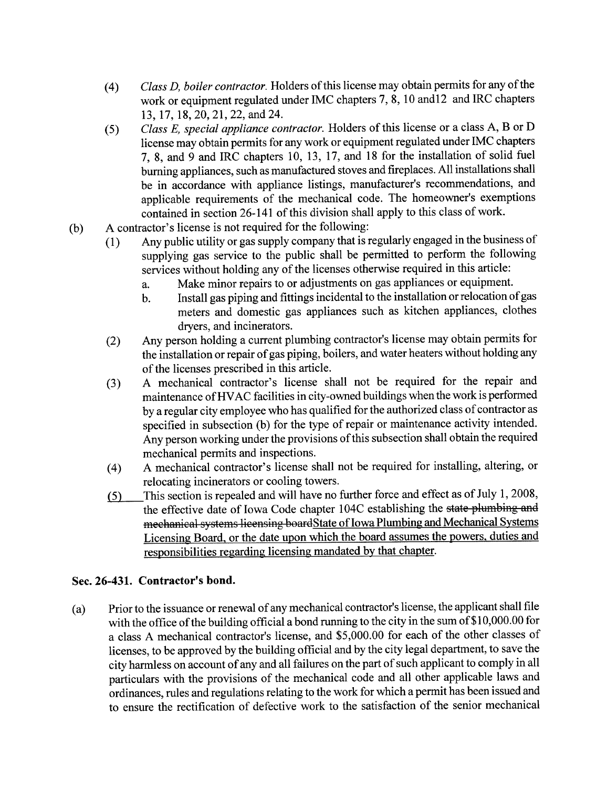- (4) Class D, boiler contractor. Holders of this license may obtain permits for any of the work or equipment regulated under IMC chapters 7, 8, 10 and12 and IRC chapters 13, 17, 18,20,21,22, and 24.
- $\sum_{i=1}^{n}$  Example 1 applicance contractor. However, the equipment regulated under IMC chapters Class E, special appliance contractor. Holders of this license or a class  $A$ ,  $B$  or  $D$ 7, 8, and 9 and IRC chapters 10, 13, 17, and 18 for the installation of solid fuel burning appliances, such as manufactued stoves and fireplaces. All installations shall be in accordance with appliance listings, manufacturer's recommendations, and applicable requirements of the mechanical code. The homeowner's exemptions contained in section 26-141 of this division shall apply to this class of work.
- (b) A contractor's license is not required for the following:<br>(1) Any public utility or gas supply company that is i
	- Any public utility or gas supply company that is regularly engaged in the business of supplying gas service to the public shall be permitted to perform the following services without holding any of the licenses otherwise required in this article:
		- a. Make minor repairs to or adjustments on gas appliances or equipment.
		- b. Install gas piping and fittings incidental to the installation or relocation of gas meters and domestic gas appliances such as kitchen appliances, clothes dryers, and incinerators.
	- (2) Any person holding a current plumbing contractor's license may obtain permits for the installation or repair of gas piping, boilers, and water heaters without holding any of the licenses prescribed in this aricle.
	- (3) A mechanical contractor's license shall not be required for the repair and maintenance ofHV AC facilities in city-owned buildings when the work is performed by a regular city employee who has qualified for the authorized class of contractor as specified in subsection (b) for the type of repair or maintenance activity intended. Any person working under the provisions of this subsection shall obtain the required mechanical permits and inspections.
	- (4) A mechanical contractor's license shall not be required for installing, altering, or relocating incinerators or cooling towers.<br>This section is repealed and will have no further force and effect as of July 1, 2008,
	- $(5)$  This section is repealed and will have no further force and effect as of  $\frac{1}{2}$ , 2008, the effective date of Iowa Code chapter 104C establishing the <del>state plumbing and</del> mechanical systems licensing boardState of Iowa Plumbing and Mechanical Systems Licensing Board. or the date upon which the board assumes the powers. duties and responsibilities regarding licensing mandated by that chapter.

## Sec. 26-431. Contractor's bond.

(a) Prior to the issuance or renewal of any mechanical contractor's license, the applicant shall file with the office of the building official a bond running to the city in the sum of \$10,000.00 for a class A mechanical contractor's license, and \$5,000.00 for each of the other classes of licenses, to be approved by the building official and by the city legal department, to save the city harmless on account of any and all failures on the part of such applicant to comply in all pariculars with the provisions of the mechanical code and all other applicable laws and ordinances, rules and regulations relating to the work for which a permit has been issued and to ensure the rectification of defective work to the satisfaction of the senior mechanical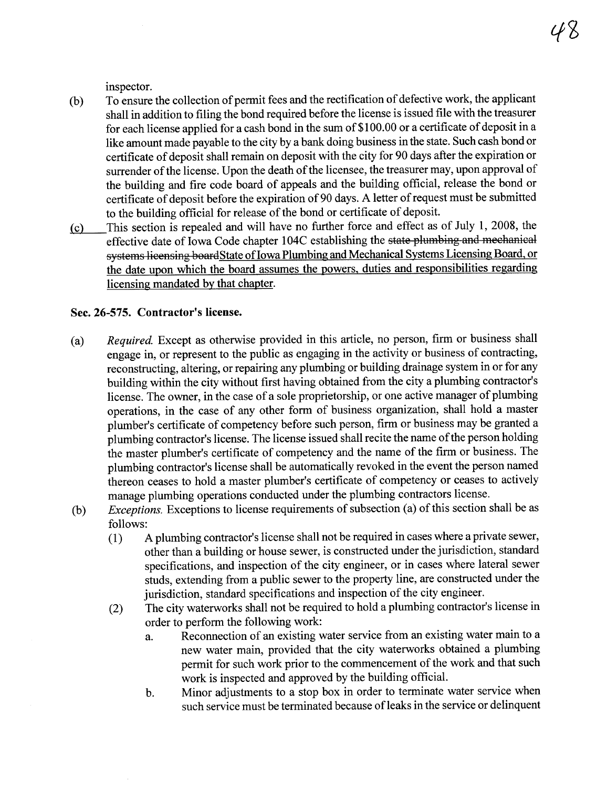inspector.

- (b) To ensure the collection of permit fees and the rectification of defective work, the applicant shall in addition to filing the bond required before the license is issued file with the treasurer for each license applied for a cash bond in the sum of \$1 00.00 or a certificate of deposit in a like amount made payable to the city by a bank doing business in the state. Such cash bond or certificate of deposit shall remain on deposit with the city for 90 days after the expiration or surrender of the license. Upon the death of the licensee, the treasurer may, upon approval of the building and fire code board of appeals and the building official, release the bond or certificate of deposit before the expiration of90 days. A letter of request must be submitted to the building official for release of the bond or certificate of deposit.
- (c) This section is repealed and will have no further force and effect as of July 1, 2008, the effective date of Iowa Code chapter 104C establishing the state plumbing and mechanical systems licensing boardState of Iowa Plumbing and Mechanical Systems Licensing Board, or the date upon which the board assumes the powers. duties and responsibilities regarding licensing mandated by that chapter.

#### Sec. 26-575. Contractor's license.

- (a) Required. Except as otherwise provided in this article, no person, firm or business shall engage in, or represent to the public as engaging in the activity or business of contracting, reconstructing, altering, or repairing any plumbing or building drainage system in or for any building within the city without first having obtained from the city a plumbing contractor's license. The owner, in the case of a sole proprietorship, or one active manager of plumbing operations, in the case of any other form of business organization, shall hold a master plumber's certificate of competency before such person, firm or business may be granted a plumbing contractor's license. The license issued shall recite the name ofthe person holding the master plumber's certificate of competency and the name of the firm or business. The plumbing contractor's license shall be automatically revoked in the event the person named thereon ceases to hold a master plumber's certificate of competency or ceases to actively manage plumbing operations conducted under the plumbing contractors license.
- $(b)$  Exceptions. Exceptions to license requirements of subsection (a) of this section shall be as follows:
	- (1) A plumbing contractor's license shall not be required in cases where a private sewer, other than a building or house sewer, is constructed under the jurisdiction, standard specifications, and inspection of the city engineer, or in cases where lateral sewer studs, extending from a public sewer to the property line, are constructed under the jurisdiction, standard specifications and inspection of the city engineer.
	- (2) The city waterworks shall not be required to hold a plumbing contractor's license in order to perform the following work:
		- a. Reconnection of an existing water service from an existing water main to a new water main, provided that the city waterworks obtained a plumbing permit for such work prior to the commencement of the work and that such work is inspected and approved by the building officiaL.
		- b. Minor adjustments to a stop box in order to terminate water service when such service must be terminated because of leaks in the service or delinquent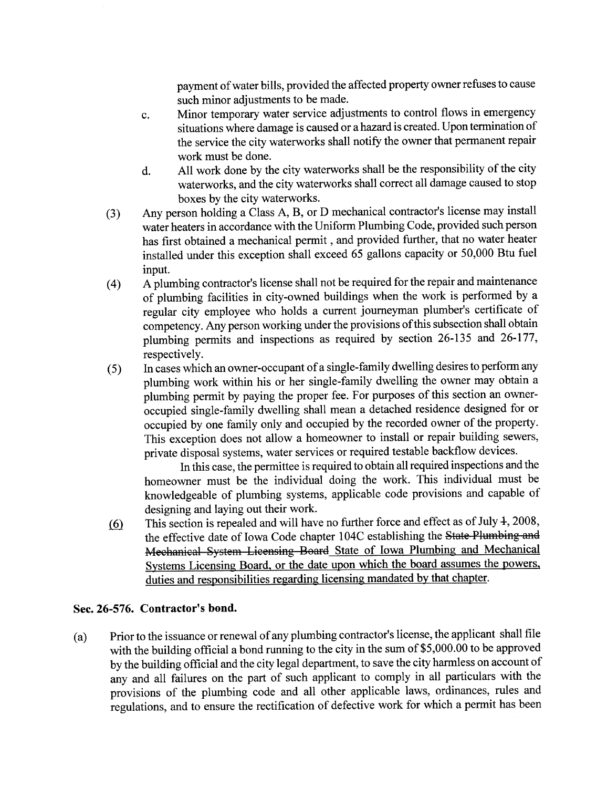payment of water bills, provided the affected property owner refuses to cause such minor adjustments to be made.

- c. Minor temporary water service adjustments to control flows in emergency situations where damage is caused or a hazard is created. Upon termination of the service the city waterworks shall notify the owner that permanent repair work must be done.
- d. All work done by the city waterworks shall be the responsibility of the city waterworks, and the city waterworks shall correct all damage caused to stop boxes by the city waterworks.
- (3) Any person holding a Class A, B, or D mechanical contractor's license may install water heaters in accordance with the Uniform Plumbing Code, provided such person has first obtained a mechanical permit, and provided further, that no water heater installed under this exception shall exceed 65 gallons capacity or 50,000 Btu fuel input.
- (4) A plumbing contractor's license shall not be required for the repair and maintenance of plumbing facilities in city-owned buildings when the work is performed by a regular city employee who holds a current journeyman plumber's certificate of competency. Any person working under the provisions ofthis subsection shall obtain plumbing permits and inspections as required by section 26-135 and 26-177,
- respectively.<br>In cases which an owner-occupant of a single-family dwelling desires to perform any (5) In cases which an owner-occupant of a single-family dwellng desires to perform any plumbing work within his or her single-family dwelling the owner may obtain a plumbing permit by paying the proper fee. For purposes of this section an owneroccupied single-family dwellng shall mean a detached residence designed for or occupied by one family only and occupied by the recorded owner of the propert. This exception does not allow a homeowner to install or repair building sewers, private disposal systems, water services or required testable backflow devices.

In this case, the permittee is required to obtain all required inspections and the homeowner must be the individual doing the work. This individual must be knowledgeable of plumbing systems, applicable code provisions and capable of designing and laying out their work.

(6) This section is repealed and will have no further force and effect as of July  $\pm$ , 2008, the effective date of Iowa Code chapter 104C establishing the State Plumbing and Mechanical System Licensing Board State of Iowa Plumbing and Mechancal Systems Licensing Board. or the date upon which the board assumes the powers. duties and responsibilities regarding licensing mandated by that chapter.

## Sec. 26-576. Contractor's bond.

(a) Prior to the issuance or renewal or any plumbing contractor's heeles, the applicant shall file with the building official a bond running to the city in the sum of \$5,000.00 to be approved by the building official and the city legal department, to save the city harmless on account of any and all failures on the part of such applicant to comply in all pariculars with the provisions of the plumbing code and all other applicable laws, ordinances, rules and regulations, and to ensure the rectification of defective work for which a permit has been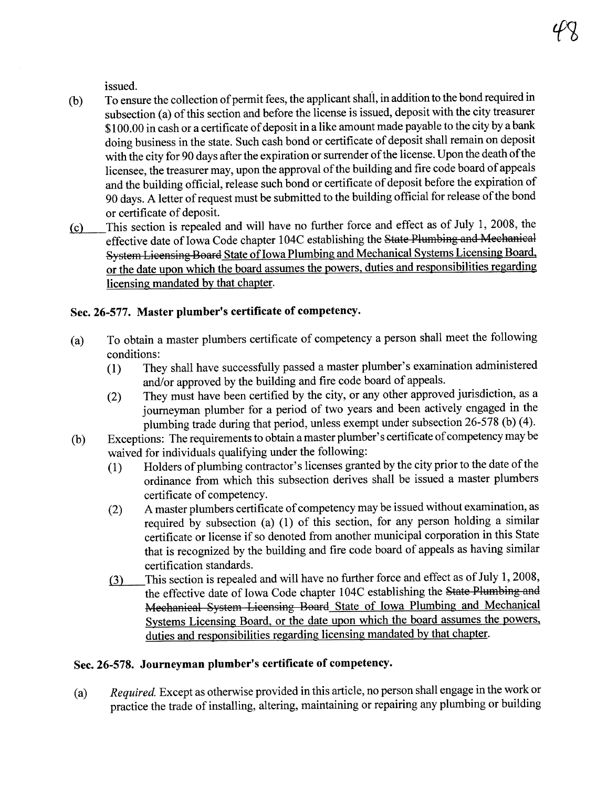issued.

- (b) To ensure the collection of permit fees, the applicant shaÍl, in addition to the bond required in subsection (a) of this section and before the license is issued, deposit with the city treasurer \$100.00 in cash or a certificate of deposit in a like amount made payable to the city by a bank doing business in the state. Such cash bond or certificate of deposit shall remain on deposit with the city for 90 days after the expiration or surrender of the license. Upon the death of the licensee, the treasurer may, upon the approval of the building and fire code board of appeals and the building official, release such bond or certificate of deposit before the expiration of 90 days. A letter of request must be submitted to the building official for release of the bond
- or certificate of deposit.<br>This section is repealed and will have no further force and effect as of July 1, 2008, the  $(c)$  This section is repealed and will have no further force and effect as of  $Juy$  1, 2008, the effective date of Iowa Code chapter 104C establishing the <del>State Plumbing and Mechanical</del> System Licensing Board State of Iowa Plumbing and Mechanical Systems Licensing Board. or the date upon which the board assumes the powers. duties and responsibilities regarding licensing mandated by that chapter.

## Sec. 26-577. Master plumber's certificate of competency.

- (a) To obtain a master plumbers certificate of competency a person shall meet the following conditions:
	- (1) They shall have successfully passed a master plumber's examination administered and/or approved by the building and fire code board of appeals.
	- (2) They must have been certified by the city, or any other approved jurisdiction, as a journeyman plumber for a period of two years and been actively engaged in the plumbing trade during that period, unless exempt under subsection 26-578 (b) (4).
- (b) Exceptions: The requirements to obtain a master plumber's certificate of competency may be waived for individuals qualifying under the following:
	- (1) Holders of plumbing contractor's licenses granted by the city prior to the date of the ordinance from which this subsection derives shall be issued a master plumbers
	- certificate of competency.<br>A master plumbers certificate of competency may be issued without examination, as  $(2)$  A master plumbers certificate of competency may be issued without examination, as required by subsection (a) (1) of this section, for any person holding a similar certificate or license if so denoted from another municipal corporation in this State that is recognized by the building and fire code board of appeals as having similar certification standards.
	- (3) This section is repealed and wil have no further force and effect as of July 1,2008, the effective date of Iowa Code chapter 104C establishing the State Plumbing and Mechanical System Licensing Board State of Iowa Plumbing and Mechancal Systems Licensing Board. or the date upon which the board assumes the powers. duties and responsibilities regarding licensing mandated by that chapter.

## Sec. 26-578. Journeyman plumber's certificate of competency.

(a) Required. Except as otherwise provided in this article, no person shall engage in the work or practice the trade of installing, altering, maintaining or repairing any plumbing or building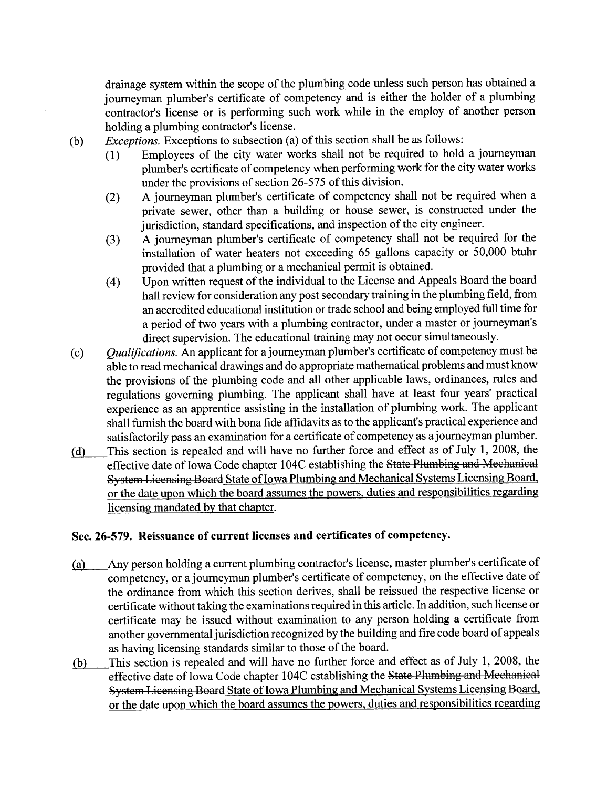drainage system within the scope of the plumbing code unless such person has obtained a journeyman plumber's certificate of competency and is either the holder of a plumbing contractor's license or is performing such work while in the employ of another person holding a plumbing contractor's license.

- *Exceptions.* Exceptions to subsection (a) of this section shall be as follows:
- $(1)$  Employees of the city water works shall not be required to hold a journeyman plumber's certificate of competency when performing work for the city water works under the provisions of section 26-575 of this division.
	- (2) A joureyman plumber's certificate of competency shall not be required when a private sewer, other than a building or house sewer, is constructed under the jurisdiction, standard specifications, and inspection of the city engineer.
	- (3) A joureyman plumber's certificate of competency shall not be required for the installation of water heaters not exceeding 65 gallons capacity or 50,000 btuh provided that a plumbing or a mechanical permit is obtained.
	- (4) Upon wrtten request of the individual to the License and Appeals Board the board hall review for consideration any post secondary training in the plumbing field, from an accredited educational institution or trade school and being employed full time for a period of two years with a plumbing contractor, under a master or joureyman's direct supervision. The educational training may not occur simultaneously.<br>*Qualifications*. An applicant for a journeyman plumber's certificate of competency must be
- (c) Qualifcations. An applicant for a journeyman plumber's certificate of competency must be able to read mechanical drawings and do appropriate mathematical problems and must know the provisions of the plumbing code and all other applicable laws, ordinances, rules and regulations governing plumbing. The applicant shall have at least four years' practical experience as an apprentice assisting in the installation of plumbing work. The applicant shall furnish the board with bona fide affidavits as to the applicant's practical experience and satisfactorily pass an examination for a certificate of competency as ajoureyman plumber.
- (d) This section is repealed and will have no further force and effect as of July 1, 2008, the effective date of Iowa Code chapter 104C establishing the State Plumbing and Mechanical System Licensing Board State of Iowa Plumbing and Mechanical Systems Licensing Board, or the date upon which the board assumes the powers. duties and responsibilties regarding licensing mandated by that chapter.

#### Sec. 26-579. Reissuance of current licenses and certificates of competency.

- (a) Any person holding a curent plumbing contractor's license, master plumber's certificate of competency, or a journeyman plumber's certificate of competency, on the effective date of the ordinance from which this section derives, shall be reissued the respective license or certificate without taking the examinations required in this aricle. In addition, such license or certificate may be issued without examination to any person holding a certificate from another governental jurisdiction recognized by the building and fire code board of appeals as having licensing standards similar to those of the board.
- (b) This section is repealed and wil have no further force and effect as of July 1, 2008, the effective date of Iowa Code chapter 104C establishing the State Plumbing and Mechanical System Licensing Board State of Iowa Plumbing and Mechanical Systems Licensing Board. or the date upon which the board assumes the powers. duties and responsibilities regarding